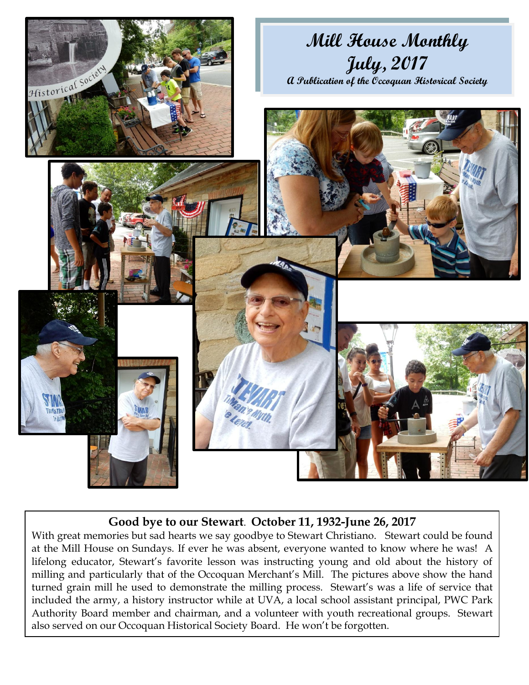

## **Good bye to our Stewart**. **October 11, 1932-June 26, 2017**

With great memories but sad hearts we say goodbye to Stewart Christiano. Stewart could be found at the Mill House on Sundays. If ever he was absent, everyone wanted to know where he was! A lifelong educator, Stewart's favorite lesson was instructing young and old about the history of milling and particularly that of the Occoquan Merchant's Mill. The pictures above show the hand turned grain mill he used to demonstrate the milling process. Stewart's was a life of service that included the army, a history instructor while at UVA, a local school assistant principal, PWC Park Authority Board member and chairman, and a volunteer with youth recreational groups. Stewart also served on our Occoquan Historical Society Board. He won't be forgotten.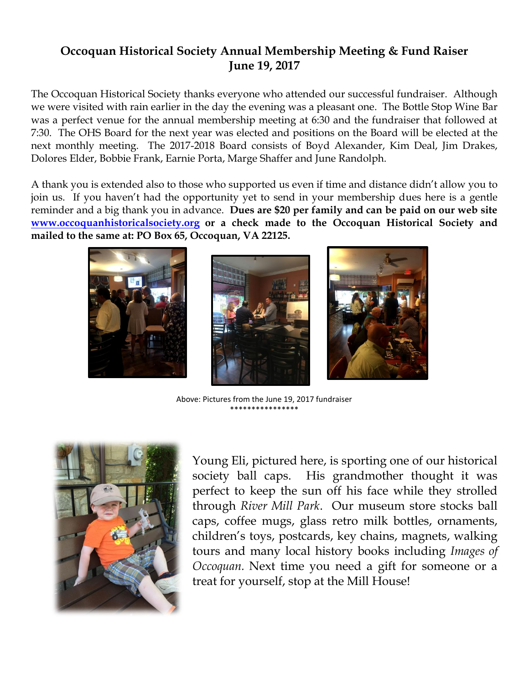## **Occoquan Historical Society Annual Membership Meeting & Fund Raiser June 19, 2017**

The Occoquan Historical Society thanks everyone who attended our successful fundraiser. Although we were visited with rain earlier in the day the evening was a pleasant one. The Bottle Stop Wine Bar was a perfect venue for the annual membership meeting at 6:30 and the fundraiser that followed at 7:30. The OHS Board for the next year was elected and positions on the Board will be elected at the next monthly meeting. The 2017-2018 Board consists of Boyd Alexander, Kim Deal, Jim Drakes, Dolores Elder, Bobbie Frank, Earnie Porta, Marge Shaffer and June Randolph.

A thank you is extended also to those who supported us even if time and distance didn't allow you to join us. If you haven't had the opportunity yet to send in your membership dues here is a gentle reminder and a big thank you in advance. **Dues are \$20 per family and can be paid on our web site [www.occoquanhistoricalsociety.org](http://www.occoquanhistoricalsociety.org/) or a check made to the Occoquan Historical Society and mailed to the same at: PO Box 65, Occoquan, VA 22125.** 



Above: Pictures from the June 19, 2017 fundraiser \*\*\*\*\*\*\*\*\*\*\*\*\*\*\*\*



Young Eli, pictured here, is sporting one of our historical society ball caps. His grandmother thought it was perfect to keep the sun off his face while they strolled through *River Mill Park*. Our museum store stocks ball caps, coffee mugs, glass retro milk bottles, ornaments, children's toys, postcards, key chains, magnets, walking tours and many local history books including *Images of Occoquan.* Next time you need a gift for someone or a treat for yourself, stop at the Mill House!